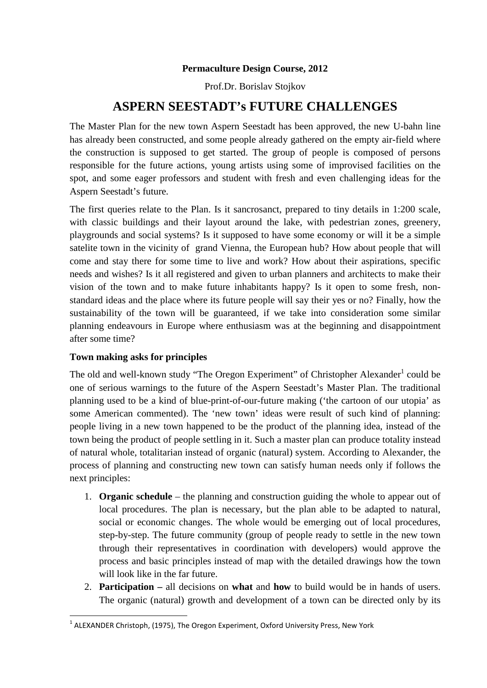## **Permaculture Design Course, 2012**

Prof.Dr. Borislav Stojkov

# **ASPERN SEESTADT's FUTURE CHALLENGES**

The Master Plan for the new town Aspern Seestadt has been approved, the new U-bahn line has already been constructed, and some people already gathered on the empty air-field where the construction is supposed to get started. The group of people is composed of persons responsible for the future actions, young artists using some of improvised facilities on the spot, and some eager professors and student with fresh and even challenging ideas for the Aspern Seestadt's future.

The first queries relate to the Plan. Is it sancrosanct, prepared to tiny details in 1:200 scale, with classic buildings and their layout around the lake, with pedestrian zones, greenery, playgrounds and social systems? Is it supposed to have some economy or will it be a simple satelite town in the vicinity of grand Vienna, the European hub? How about people that will come and stay there for some time to live and work? How about their aspirations, specific needs and wishes? Is it all registered and given to urban planners and architects to make their vision of the town and to make future inhabitants happy? Is it open to some fresh, nonstandard ideas and the place where its future people will say their yes or no? Finally, how the sustainability of the town will be guaranteed, if we take into consideration some similar planning endeavours in Europe where enthusiasm was at the beginning and disappointment after some time?

## **Town making asks for principles**

The old and well-known study "The Oregon Experiment" of Christopher Alexander<sup>1</sup> could be one of serious warnings to the future of the Aspern Seestadt's Master Plan. The traditional planning used to be a kind of blue-print-of-our-future making ('the cartoon of our utopia' as some American commented). The 'new town' ideas were result of such kind of planning: people living in a new town happened to be the product of the planning idea, instead of the town being the product of people settling in it. Such a master plan can produce totality instead of natural whole, totalitarian instead of organic (natural) system. According to Alexander, the process of planning and constructing new town can satisfy human needs only if follows the next principles:

- 1. **Organic schedule** the planning and construction guiding the whole to appear out of local procedures. The plan is necessary, but the plan able to be adapted to natural, social or economic changes. The whole would be emerging out of local procedures, step-by-step. The future community (group of people ready to settle in the new town through their representatives in coordination with developers) would approve the process and basic principles instead of map with the detailed drawings how the town will look like in the far future.
- 2. **Participation –** all decisions on **what** and **how** to build would be in hands of users. The organic (natural) growth and development of a town can be directed only by its

 $<sup>1</sup>$  ALEXANDER Christoph, (1975), The Oregon Experiment, Oxford University Press, New York</sup>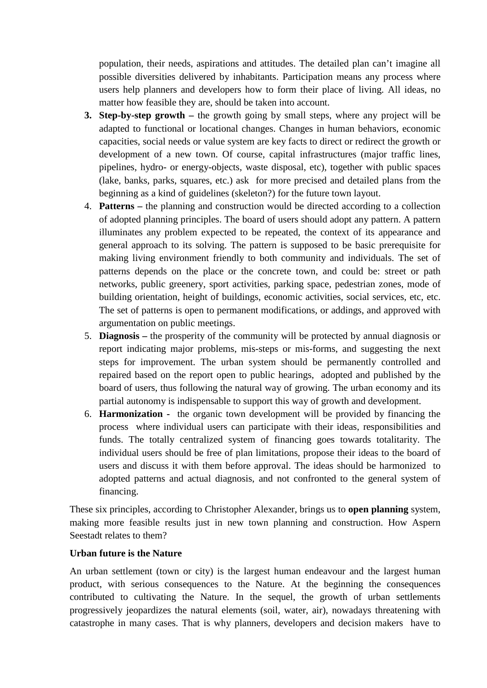population, their needs, aspirations and attitudes. The detailed plan can't imagine all possible diversities delivered by inhabitants. Participation means any process where users help planners and developers how to form their place of living. All ideas, no matter how feasible they are, should be taken into account.

- **3. Step-by-step growth –** the growth going by small steps, where any project will be adapted to functional or locational changes. Changes in human behaviors, economic capacities, social needs or value system are key facts to direct or redirect the growth or development of a new town. Of course, capital infrastructures (major traffic lines, pipelines, hydro- or energy-objects, waste disposal, etc), together with public spaces (lake, banks, parks, squares, etc.) ask for more precised and detailed plans from the beginning as a kind of guidelines (skeleton?) for the future town layout.
- 4. **Patterns –** the planning and construction would be directed according to a collection of adopted planning principles. The board of users should adopt any pattern. A pattern illuminates any problem expected to be repeated, the context of its appearance and general approach to its solving. The pattern is supposed to be basic prerequisite for making living environment friendly to both community and individuals. The set of patterns depends on the place or the concrete town, and could be: street or path networks, public greenery, sport activities, parking space, pedestrian zones, mode of building orientation, height of buildings, economic activities, social services, etc, etc. The set of patterns is open to permanent modifications, or addings, and approved with argumentation on public meetings.
- 5. **Diagnosis –** the prosperity of the community will be protected by annual diagnosis or report indicating major problems, mis-steps or mis-forms, and suggesting the next steps for improvement. The urban system should be permanently controlled and repaired based on the report open to public hearings, adopted and published by the board of users, thus following the natural way of growing. The urban economy and its partial autonomy is indispensable to support this way of growth and development.
- 6. **Harmonization** the organic town development will be provided by financing the process where individual users can participate with their ideas, responsibilities and funds. The totally centralized system of financing goes towards totalitarity. The individual users should be free of plan limitations, propose their ideas to the board of users and discuss it with them before approval. The ideas should be harmonized to adopted patterns and actual diagnosis, and not confronted to the general system of financing.

These six principles, according to Christopher Alexander, brings us to **open planning** system, making more feasible results just in new town planning and construction. How Aspern Seestadt relates to them?

## **Urban future is the Nature**

An urban settlement (town or city) is the largest human endeavour and the largest human product, with serious consequences to the Nature. At the beginning the consequences contributed to cultivating the Nature. In the sequel, the growth of urban settlements progressively jeopardizes the natural elements (soil, water, air), nowadays threatening with catastrophe in many cases. That is why planners, developers and decision makers have to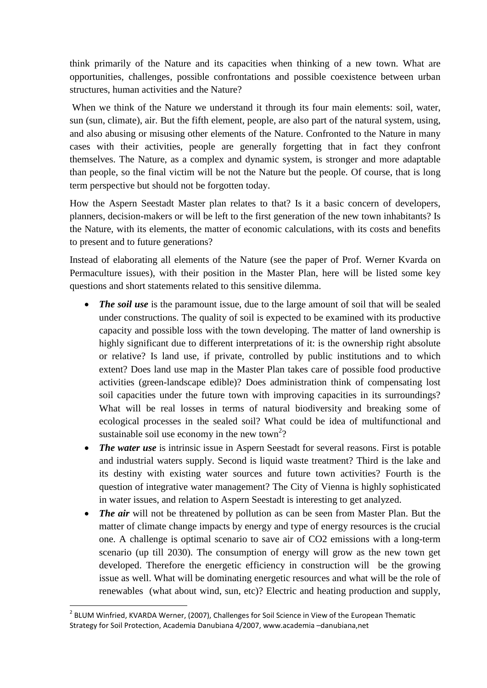think primarily of the Nature and its capacities when thinking of a new town. What are opportunities, challenges, possible confrontations and possible coexistence between urban structures, human activities and the Nature?

When we think of the Nature we understand it through its four main elements: soil, water, sun (sun, climate), air. But the fifth element, people, are also part of the natural system, using, and also abusing or misusing other elements of the Nature. Confronted to the Nature in many cases with their activities, people are generally forgetting that in fact they confront themselves. The Nature, as a complex and dynamic system, is stronger and more adaptable than people, so the final victim will be not the Nature but the people. Of course, that is long term perspective but should not be forgotten today.

How the Aspern Seestadt Master plan relates to that? Is it a basic concern of developers, planners, decision-makers or will be left to the first generation of the new town inhabitants? Is the Nature, with its elements, the matter of economic calculations, with its costs and benefits to present and to future generations?

Instead of elaborating all elements of the Nature (see the paper of Prof. Werner Kvarda on Permaculture issues), with their position in the Master Plan, here will be listed some key questions and short statements related to this sensitive dilemma.

- *The soil use* is the paramount issue, due to the large amount of soil that will be sealed under constructions. The quality of soil is expected to be examined with its productive capacity and possible loss with the town developing. The matter of land ownership is highly significant due to different interpretations of it: is the ownership right absolute or relative? Is land use, if private, controlled by public institutions and to which extent? Does land use map in the Master Plan takes care of possible food productive activities (green-landscape edible)? Does administration think of compensating lost soil capacities under the future town with improving capacities in its surroundings? What will be real losses in terms of natural biodiversity and breaking some of ecological processes in the sealed soil? What could be idea of multifunctional and sustainable soil use economy in the new town<sup>2</sup>?
- *The water use* is intrinsic issue in Aspern Seestadt for several reasons. First is potable and industrial waters supply. Second is liquid waste treatment? Third is the lake and its destiny with existing water sources and future town activities? Fourth is the question of integrative water management? The City of Vienna is highly sophisticated in water issues, and relation to Aspern Seestadt is interesting to get analyzed.
- *The air* will not be threatened by pollution as can be seen from Master Plan. But the matter of climate change impacts by energy and type of energy resources is the crucial one. A challenge is optimal scenario to save air of CO2 emissions with a long-term scenario (up till 2030). The consumption of energy will grow as the new town get developed. Therefore the energetic efficiency in construction will be the growing issue as well. What will be dominating energetic resources and what will be the role of renewables (what about wind, sun, etc)? Electric and heating production and supply,

<sup>&</sup>lt;sup>2</sup> BLUM Winfried, KVARDA Werner, (2007), Challenges for Soil Science in View of the European Thematic Strategy for Soil Protection, Academia Danubiana 4/2007, www.academia –danubiana,net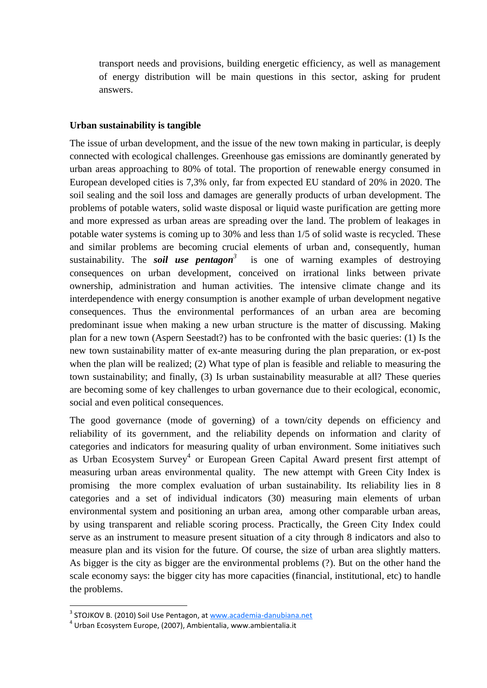transport needs and provisions, building energetic efficiency, as well as management of energy distribution will be main questions in this sector, asking for prudent answers.

#### **Urban sustainability is tangible**

The issue of urban development, and the issue of the new town making in particular, is deeply connected with ecological challenges. Greenhouse gas emissions are dominantly generated by urban areas approaching to 80% of total. The proportion of renewable energy consumed in European developed cities is 7,3% only, far from expected EU standard of 20% in 2020. The soil sealing and the soil loss and damages are generally products of urban development. The problems of potable waters, solid waste disposal or liquid waste purification are getting more and more expressed as urban areas are spreading over the land. The problem of leakages in potable water systems is coming up to 30% and less than 1/5 of solid waste is recycled. These and similar problems are becoming crucial elements of urban and, consequently, human sustainability. The *soil* use **pentagon**<sup>3</sup> is one of warning examples of destroying consequences on urban development, conceived on irrational links between private ownership, administration and human activities. The intensive climate change and its interdependence with energy consumption is another example of urban development negative consequences. Thus the environmental performances of an urban area are becoming predominant issue when making a new urban structure is the matter of discussing. Making plan for a new town (Aspern Seestadt?) has to be confronted with the basic queries: (1) Is the new town sustainability matter of ex-ante measuring during the plan preparation, or ex-post when the plan will be realized; (2) What type of plan is feasible and reliable to measuring the town sustainability; and finally, (3) Is urban sustainability measurable at all? These queries are becoming some of key challenges to urban governance due to their ecological, economic, social and even political consequences.

The good governance (mode of governing) of a town/city depends on efficiency and reliability of its government, and the reliability depends on information and clarity of categories and indicators for measuring quality of urban environment. Some initiatives such as Urban Ecosystem Survey<sup>4</sup> or European Green Capital Award present first attempt of measuring urban areas environmental quality. The new attempt with Green City Index is promising the more complex evaluation of urban sustainability. Its reliability lies in 8 categories and a set of individual indicators (30) measuring main elements of urban environmental system and positioning an urban area, among other comparable urban areas, by using transparent and reliable scoring process. Practically, the Green City Index could serve as an instrument to measure present situation of a city through 8 indicators and also to measure plan and its vision for the future. Of course, the size of urban area slightly matters. As bigger is the city as bigger are the environmental problems (?). But on the other hand the scale economy says: the bigger city has more capacities (financial, institutional, etc) to handle the problems.

<sup>&</sup>lt;sup>3</sup> STOJKOV B. (2010) Soil Use Pentagon, at **www.academia-danubiana.net** 4<br><sup>4</sup> Urban Ecosystem Europe, (2007), Ambientalia, www.ambientalia.it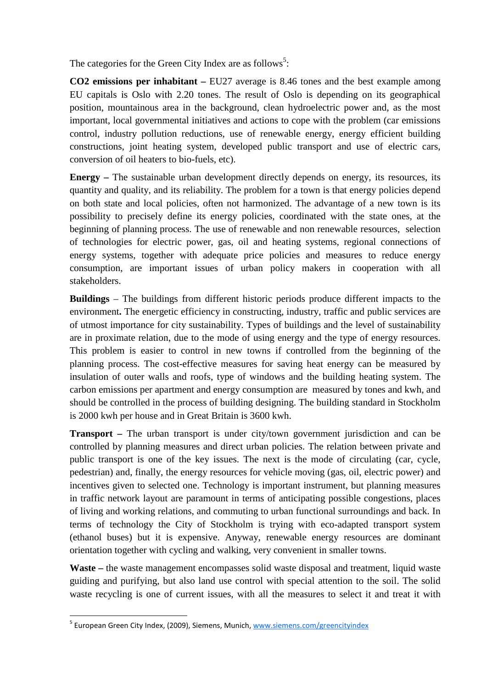The categories for the Green City Index are as follows<sup>5</sup>:

**CO2 emissions per inhabitant –** EU27 average is 8.46 tones and the best example among EU capitals is Oslo with 2.20 tones. The result of Oslo is depending on its geographical position, mountainous area in the background, clean hydroelectric power and, as the most important, local governmental initiatives and actions to cope with the problem (car emissions control, industry pollution reductions, use of renewable energy, energy efficient building constructions, joint heating system, developed public transport and use of electric cars, conversion of oil heaters to bio-fuels, etc).

**Energy –** The sustainable urban development directly depends on energy, its resources, its quantity and quality, and its reliability. The problem for a town is that energy policies depend on both state and local policies, often not harmonized. The advantage of a new town is its possibility to precisely define its energy policies, coordinated with the state ones, at the beginning of planning process. The use of renewable and non renewable resources, selection of technologies for electric power, gas, oil and heating systems, regional connections of energy systems, together with adequate price policies and measures to reduce energy consumption, are important issues of urban policy makers in cooperation with all stakeholders.

**Buildings** – The buildings from different historic periods produce different impacts to the environment**.** The energetic efficiency in constructing, industry, traffic and public services are of utmost importance for city sustainability. Types of buildings and the level of sustainability are in proximate relation, due to the mode of using energy and the type of energy resources. This problem is easier to control in new towns if controlled from the beginning of the planning process. The cost-effective measures for saving heat energy can be measured by insulation of outer walls and roofs, type of windows and the building heating system. The carbon emissions per apartment and energy consumption are measured by tones and kwh, and should be controlled in the process of building designing. The building standard in Stockholm is 2000 kwh per house and in Great Britain is 3600 kwh.

**Transport –** The urban transport is under city/town government jurisdiction and can be controlled by planning measures and direct urban policies. The relation between private and public transport is one of the key issues. The next is the mode of circulating (car, cycle, pedestrian) and, finally, the energy resources for vehicle moving (gas, oil, electric power) and incentives given to selected one. Technology is important instrument, but planning measures in traffic network layout are paramount in terms of anticipating possible congestions, places of living and working relations, and commuting to urban functional surroundings and back. In terms of technology the City of Stockholm is trying with eco-adapted transport system (ethanol buses) but it is expensive. Anyway, renewable energy resources are dominant orientation together with cycling and walking, very convenient in smaller towns.

**Waste –** the waste management encompasses solid waste disposal and treatment, liquid waste guiding and purifying, but also land use control with special attention to the soil. The solid waste recycling is one of current issues, with all the measures to select it and treat it with

<sup>&</sup>lt;sup>5</sup> European Green City Index, (2009), Siemens, Munich, www.siemens.com/greencityindex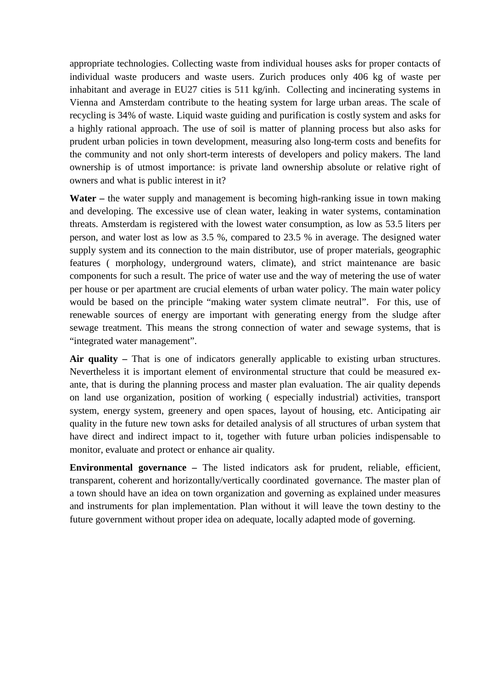appropriate technologies. Collecting waste from individual houses asks for proper contacts of individual waste producers and waste users. Zurich produces only 406 kg of waste per inhabitant and average in EU27 cities is 511 kg/inh. Collecting and incinerating systems in Vienna and Amsterdam contribute to the heating system for large urban areas. The scale of recycling is 34% of waste. Liquid waste guiding and purification is costly system and asks for a highly rational approach. The use of soil is matter of planning process but also asks for prudent urban policies in town development, measuring also long-term costs and benefits for the community and not only short-term interests of developers and policy makers. The land ownership is of utmost importance: is private land ownership absolute or relative right of owners and what is public interest in it?

**Water –** the water supply and management is becoming high-ranking issue in town making and developing. The excessive use of clean water, leaking in water systems, contamination threats. Amsterdam is registered with the lowest water consumption, as low as 53.5 liters per person, and water lost as low as 3.5 %, compared to 23.5 % in average. The designed water supply system and its connection to the main distributor, use of proper materials, geographic features ( morphology, underground waters, climate), and strict maintenance are basic components for such a result. The price of water use and the way of metering the use of water per house or per apartment are crucial elements of urban water policy. The main water policy would be based on the principle "making water system climate neutral". For this, use of renewable sources of energy are important with generating energy from the sludge after sewage treatment. This means the strong connection of water and sewage systems, that is "integrated water management".

**Air quality –** That is one of indicators generally applicable to existing urban structures. Nevertheless it is important element of environmental structure that could be measured exante, that is during the planning process and master plan evaluation. The air quality depends on land use organization, position of working ( especially industrial) activities, transport system, energy system, greenery and open spaces, layout of housing, etc. Anticipating air quality in the future new town asks for detailed analysis of all structures of urban system that have direct and indirect impact to it, together with future urban policies indispensable to monitor, evaluate and protect or enhance air quality.

**Environmental governance –** The listed indicators ask for prudent, reliable, efficient, transparent, coherent and horizontally/vertically coordinated governance. The master plan of a town should have an idea on town organization and governing as explained under measures and instruments for plan implementation. Plan without it will leave the town destiny to the future government without proper idea on adequate, locally adapted mode of governing.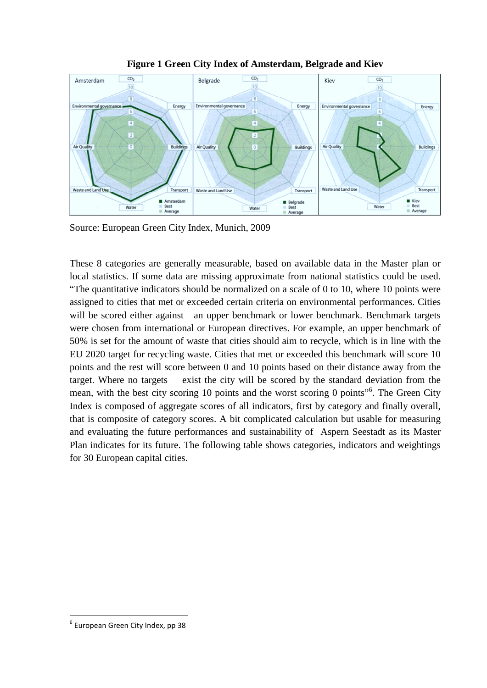

**Figure 1 Green City Index of Amsterdam, Belgrade and Kiev**

Source: European Green City Index, Munich, 2009

These 8 categories are generally measurable, based on available data in the Master plan or local statistics. If some data are missing approximate from national statistics could be used. "The quantitative indicators should be normalized on a scale of 0 to 10, where 10 points were assigned to cities that met or exceeded certain criteria on environmental performances. Cities will be scored either against an upper benchmark or lower benchmark. Benchmark targets were chosen from international or European directives. For example, an upper benchmark of 50% is set for the amount of waste that cities should aim to recycle, which is in line with the EU 2020 target for recycling waste. Cities that met or exceeded this benchmark will score 10 points and the rest will score between 0 and 10 points based on their distance away from the target. Where no targets exist the city will be scored by the standard deviation from the mean, with the best city scoring 10 points and the worst scoring 0 points<sup>"6</sup>. The Green City Index is composed of aggregate scores of all indicators, first by category and finally overall, that is composite of category scores. A bit complicated calculation but usable for measuring and evaluating the future performances and sustainability of Aspern Seestadt as its Master Plan indicates for its future. The following table shows categories, indicators and weightings for 30 European capital cities.

 $<sup>6</sup>$  European Green City Index, pp 38</sup>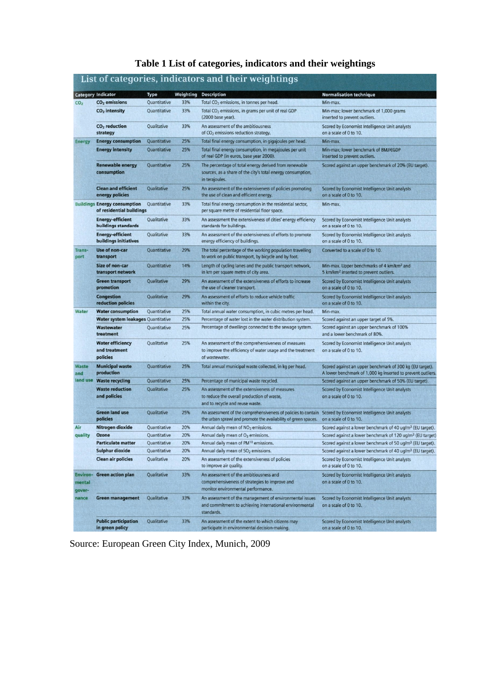|  | Table 1 List of categories, indicators and their weightings |  |  |
|--|-------------------------------------------------------------|--|--|
|  |                                                             |  |  |

|                                     | <b>Category Indicator</b>                                       | Type               | Weighting | <b>Description</b>                                                                                                                                                             | <b>Normalisation technique</b>                                                                                          |
|-------------------------------------|-----------------------------------------------------------------|--------------------|-----------|--------------------------------------------------------------------------------------------------------------------------------------------------------------------------------|-------------------------------------------------------------------------------------------------------------------------|
| CO <sub>2</sub>                     | $CO2$ emissions                                                 | Quantitative       | 33%       | Total CO <sub>2</sub> emissions, in tonnes per head.                                                                                                                           | Min-max.                                                                                                                |
|                                     | $CO2$ intensity                                                 | Quantitative       | 33%       | Total CO <sub>2</sub> emissions, in grams per unit of real GDP<br>(2000 base year).                                                                                            | Min-max; lower benchmark of 1,000 grams<br>inserted to prevent outliers.                                                |
|                                     | $CO2$ reduction<br>strategy                                     | Qualitative        | 33%       | An assessment of the ambitiousness<br>of CO <sub>2</sub> emissions reduction strategy.                                                                                         | Scored by Economist Intelligence Unit analysts<br>on a scale of 0 to 10.                                                |
| <b>Energy</b>                       | <b>Energy consumption</b>                                       | Quantitative       | 25%       | Total final energy consumption, in gigajoules per head.                                                                                                                        | Min-max.                                                                                                                |
|                                     | <b>Energy intensity</b>                                         | Quantitative       | 25%       | Total final energy consumption, in megajoules per unit<br>of real GDP (in euros, base year 2000).                                                                              | Min-max; lower benchmark of 8MJ/€GDP<br>inserted to prevent outliers.                                                   |
|                                     | <b>Renewable energy</b><br>consumption                          | Quantitative       | 25%       | The percentage of total energy derived from renewable<br>sources, as a share of the city's total energy consumption,<br>in terajoules.                                         | Scored against an upper benchmark of 20% (EU target).                                                                   |
|                                     | <b>Clean and efficient</b><br>energy policies                   | Qualitative        | 25%       | An assessment of the extensiveness of policies promoting<br>the use of clean and efficient energy.                                                                             | Scored by Economist Intelligence Unit analysts<br>on a scale of 0 to 10.                                                |
|                                     | <b>Buildings Energy consumption</b><br>of residential buildings | Quantitative       | 33%       | Total final energy consumption in the residential sector,<br>per square metre of residential floor space.                                                                      | Min-max.                                                                                                                |
|                                     | <b>Energy-efficient</b><br>buildings standards                  | Qualitative        | 33%       | An assessment the extensiveness of cities' energy efficiency<br>standards for buildings.                                                                                       | Scored by Economist Intelligence Unit analysts<br>on a scale of 0 to 10.                                                |
|                                     | <b>Energy-efficient</b><br>buildings initiatives                | Qualitative        | 33%       | An assessment of the extensiveness of efforts to promote<br>energy efficiency of buildings.                                                                                    | Scored by Economist Intelligence Unit analysts<br>on a scale of 0 to 10.                                                |
| Trans-<br>port                      | Use of non-car<br>transport                                     | Quantitative       | 29%       | The total percentage of the working population travelling<br>to work on public transport, by bicycle and by foot.                                                              | Converted to a scale of 0 to 10.                                                                                        |
|                                     | <b>Size of non-car</b><br>transport network                     | Quantitative       | 14%       | Length of cycling lanes and the public transport network,<br>in km per square metre of city area.                                                                              | Min-max. Upper benchmarks of 4 km/km <sup>2</sup> and<br>5 km/km <sup>2</sup> inserted to prevent outliers.             |
|                                     | <b>Green transport</b><br>promotion                             | <b>Oualitative</b> | 29%       | An assessment of the extensiveness of efforts to increase<br>the use of cleaner transport.                                                                                     | Scored by Economist Intelligence Unit analysts<br>on a scale of 0 to 10.                                                |
|                                     | <b>Congestion</b><br>reduction policies                         | Qualitative        | 29%       | An assessment of efforts to reduce vehicle traffic<br>within the city.                                                                                                         | Scored by Economist Intelligence Unit analysts<br>on a scale of 0 to 10.                                                |
| Water                               | <b>Water consumption</b>                                        | Quantitative       | 25%       | Total annual water consumption, in cubic metres per head.                                                                                                                      | Min-max.                                                                                                                |
|                                     | <b>Water system leakages Quantitative</b>                       |                    | 25%       | Percentage of water lost in the water distribution system.                                                                                                                     | Scored against an upper target of 5%.                                                                                   |
|                                     | Wastewater<br>treatment                                         | Quantitative       | 25%       | Percentage of dwellings connected to the sewage system.                                                                                                                        | Scored against an upper benchmark of 100%<br>and a lower benchmark of 80%.                                              |
|                                     | <b>Water efficiency</b><br>and treatment<br>policies            | Qualitative        | 25%       | An assessment of the comprehensiveness of measures<br>to improve the efficiency of water usage and the treatment<br>of wastewater.                                             | Scored by Economist Intelligence Unit analysts<br>on a scale of 0 to 10.                                                |
| <b>Waste</b><br>and                 | <b>Municipal waste</b><br>production                            | Quantitative       | 25%       | Total annual municipal waste collected, in kg per head.                                                                                                                        | Scored against an upper benchmark of 300 kg (EU target).<br>A lower benchmark of 1,000 kg inserted to prevent outliers. |
| land use                            | <b>Waste recycling</b>                                          | Quantitative       | 25%       | Percentage of municipal waste recycled.                                                                                                                                        | Scored against an upper benchmark of 50% (EU target).                                                                   |
|                                     | <b>Waste reduction</b><br>and policies                          | Qualitative        | 25%       | An assessment of the extensiveness of measures<br>to reduce the overall production of waste,<br>and to recycle and reuse waste.                                                | Scored by Economist Intelligence Unit analysts<br>on a scale of 0 to 10.                                                |
|                                     | <b>Green land use</b><br>policies                               | Qualitative        | 25%       | An assessment of the comprehensiveness of policies to contain Scored by Economist Intelligence Unit analysts<br>the urban sprawl and promote the availability of green spaces. | on a scale of 0 to 10.                                                                                                  |
| Air                                 | Nitrogen dioxide                                                | Quantitative       | 20%       | Annual daily mean of NO <sub>2</sub> emissions.                                                                                                                                | Scored against a lower benchmark of 40 ug/m <sup>3</sup> (EU target).                                                   |
| quality                             | <b>Ozone</b>                                                    | Quantitative       | 20%       | Annual daily mean of O <sub>3</sub> emissions.                                                                                                                                 | Scored against a lower benchmark of 120 ug/m <sup>3</sup> (EU target)                                                   |
|                                     | <b>Particulate matter</b>                                       | Quantitative       | 20%       | Annual daily mean of PM <sup>10</sup> emissions.                                                                                                                               | Scored against a lower benchmark of 50 ug/m <sup>3</sup> (EU target).                                                   |
|                                     | <b>Sulphur dioxide</b>                                          | Quantitative       | 20%       | Annual daily mean of SO <sub>2</sub> emissions.                                                                                                                                | Scored against a lower benchmark of 40 ug/m <sup>3</sup> (EU target).                                                   |
|                                     | <b>Clean air policies</b>                                       | Qualitative        | 20%       | An assessment of the extensiveness of policies<br>to improve air quality.                                                                                                      | Scored by Economist Intelligence Unit analysts<br>on a scale of 0 to 10.                                                |
| <b>Environ-</b><br>mental<br>gover- | <b>Green action plan</b>                                        | Qualitative        | 33%       | An assessment of the ambitiousness and<br>comprehensiveness of strategies to improve and<br>monitor environmental performance.                                                 | Scored by Economist Intelligence Unit analysts<br>on a scale of 0 to 10.                                                |
| nance                               | <b>Green management</b>                                         | Qualitative        | 33%       | An assessment of the management of environmental issues<br>and commitment to achieving international environmental<br>standards.                                               | Scored by Economist Intelligence Unit analysts<br>on a scale of 0 to 10.                                                |
|                                     | <b>Public participation</b><br>in areen policy                  | Qualitative        | 33%       | An assessment of the extent to which citizens may<br>participate in environmental decision-making                                                                              | Scored by Economist Intelligence Unit analysts<br>on a scale of 0 to 10                                                 |

Source: European Green City Index, Munich, 2009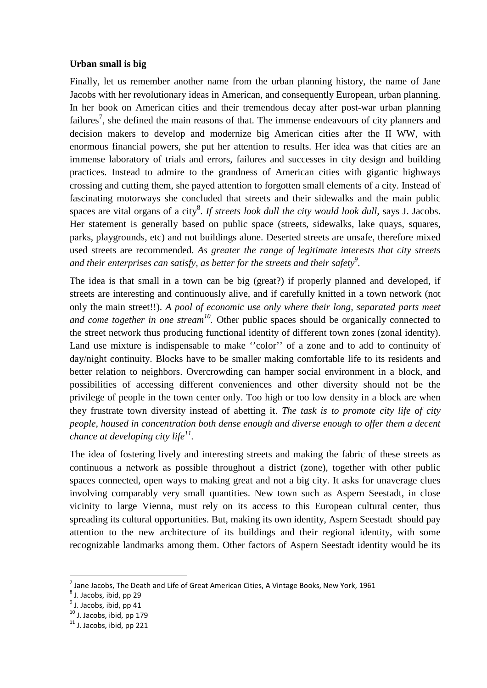#### **Urban small is big**

Finally, let us remember another name from the urban planning history, the name of Jane Jacobs with her revolutionary ideas in American, and consequently European, urban planning. In her book on American cities and their tremendous decay after post-war urban planning failures<sup>7</sup>, she defined the main reasons of that. The immense endeavours of city planners and decision makers to develop and modernize big American cities after the II WW, with enormous financial powers, she put her attention to results. Her idea was that cities are an immense laboratory of trials and errors, failures and successes in city design and building practices. Instead to admire to the grandness of American cities with gigantic highways crossing and cutting them, she payed attention to forgotten small elements of a city. Instead of fascinating motorways she concluded that streets and their sidewalks and the main public spaces are vital organs of a city<sup>8</sup>. If streets look dull the city would look dull, says J. Jacobs. Her statement is generally based on public space (streets, sidewalks, lake quays, squares, parks, playgrounds, etc) and not buildings alone. Deserted streets are unsafe, therefore mixed used streets are recommended. *As greater the range of legitimate interests that city streets and their enterprises can satisfy, as better for the streets and their safety9 .*

The idea is that small in a town can be big (great?) if properly planned and developed, if streets are interesting and continuously alive, and if carefully knitted in a town network (not only the main street!!). *A pool of economic use only where their long, separated parts meet and come together in one stream10.* Other public spaces should be organically connected to the street network thus producing functional identity of different town zones (zonal identity). Land use mixture is indispensable to make ''color'' of a zone and to add to continuity of day/night continuity. Blocks have to be smaller making comfortable life to its residents and better relation to neighbors. Overcrowding can hamper social environment in a block, and possibilities of accessing different conveniences and other diversity should not be the privilege of people in the town center only. Too high or too low density in a block are when they frustrate town diversity instead of abetting it. *The task is to promote city life of city people, housed in concentration both dense enough and diverse enough to offer them a decent chance at developing city life*<sup>11</sup>.

The idea of fostering lively and interesting streets and making the fabric of these streets as continuous a network as possible throughout a district (zone), together with other public spaces connected, open ways to making great and not a big city. It asks for unaverage clues involving comparably very small quantities. New town such as Aspern Seestadt, in close vicinity to large Vienna, must rely on its access to this European cultural center, thus spreading its cultural opportunities. But, making its own identity, Aspern Seestadt should pay attention to the new architecture of its buildings and their regional identity, with some recognizable landmarks among them. Other factors of Aspern Seestadt identity would be its

 $<sup>7</sup>$  Jane Jacobs, The Death and Life of Great American Cities, A Vintage Books, New York, 1961</sup>

<sup>8</sup> J. Jacobs, ibid, pp 29

 $<sup>9</sup>$  J. Jacobs, ibid, pp 41</sup>

 $10$  J. Jacobs, ibid, pp 179<br> $11$  J. Jacobs, ibid, pp 221